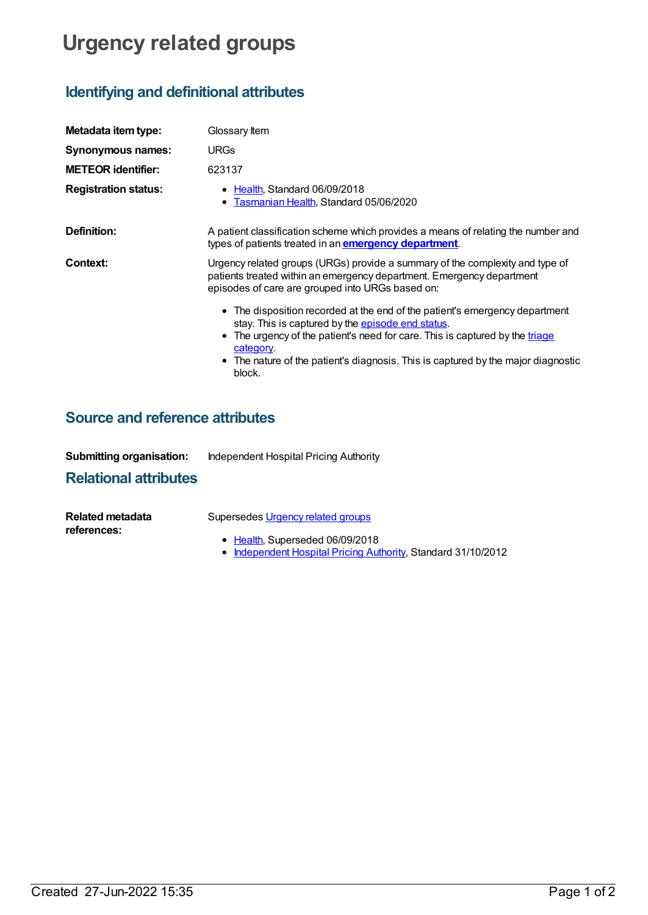# **Urgency related groups**

## **Identifying and definitional attributes**

| Metadata item type:         | Glossary Item                                                                                                                                                                                                                                                                                                                        |  |
|-----------------------------|--------------------------------------------------------------------------------------------------------------------------------------------------------------------------------------------------------------------------------------------------------------------------------------------------------------------------------------|--|
| Synonymous names:           | <b>URGs</b>                                                                                                                                                                                                                                                                                                                          |  |
| <b>METEOR identifier:</b>   | 623137                                                                                                                                                                                                                                                                                                                               |  |
| <b>Registration status:</b> | • Health, Standard 06/09/2018<br>• Tasmanian Health, Standard 05/06/2020                                                                                                                                                                                                                                                             |  |
| Definition:                 | A patient classification scheme which provides a means of relating the number and<br>types of patients treated in an <b>emergency department</b> .                                                                                                                                                                                   |  |
| Context:                    | Urgency related groups (URGs) provide a summary of the complexity and type of<br>patients treated within an emergency department. Emergency department<br>episodes of care are grouped into URGs based on:                                                                                                                           |  |
|                             | • The disposition recorded at the end of the patient's emergency department<br>stay. This is captured by the <b>episode end status</b> .<br>• The urgency of the patient's need for care. This is captured by the triage<br>category.<br>• The nature of the patient's diagnosis. This is captured by the major diagnostic<br>block. |  |

### **Source and reference attributes**

| <b>Submitting organisation:</b> | Independent Hospital Pricing Authority |
|---------------------------------|----------------------------------------|
|---------------------------------|----------------------------------------|

#### **Relational attributes**

| Related metadata | Supersedes <i>Urgency related groups</i> |
|------------------|------------------------------------------|
| references:      | ● Health, Superseded 06/09/2018          |

[Independent](https://meteor.aihw.gov.au/RegistrationAuthority/3) Hospital Pricing Authority, Standard 31/10/2012